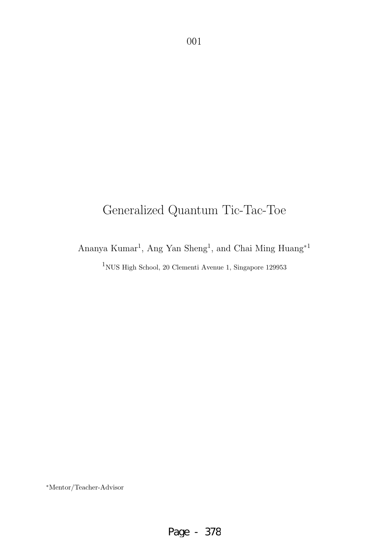# Generalized Quantum Tic-Tac-Toe

Ananya Kumar<sup>1</sup>, Ang Yan Sheng<sup>1</sup>, and Chai Ming $\operatorname{Huang^{*1}}$ 

 $^{1}\rm{NUS}$  High School, 20 Clementi Avenue 1, Singapore 129953

∗Mentor/Teacher-Advisor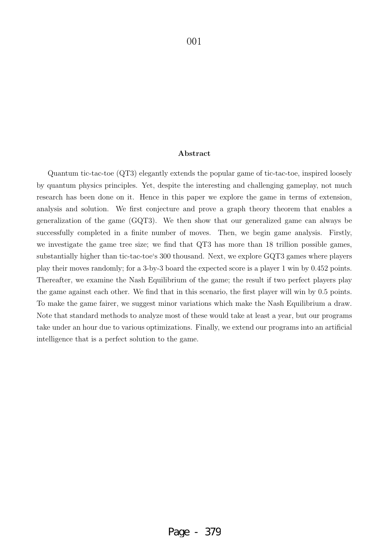#### **Abstract**

Quantum tic-tac-toe (QT3) elegantly extends the popular game of tic-tac-toe, inspired loosely by quantum physics principles. Yet, despite the interesting and challenging gameplay, not much research has been done on it. Hence in this paper we explore the game in terms of extension, analysis and solution. We first conjecture and prove a graph theory theorem that enables a generalization of the game (GQT3). We then show that our generalized game can always be successfully completed in a finite number of moves. Then, we begin game analysis. Firstly, we investigate the game tree size; we find that QT3 has more than 18 trillion possible games, substantially higher than tic-tac-toe's 300 thousand. Next, we explore GQT3 games where players play their moves randomly; for a 3-by-3 board the expected score is a player 1 win by 0.452 points. Thereafter, we examine the Nash Equilibrium of the game; the result if two perfect players play the game against each other. We find that in this scenario, the first player will win by 0.5 points. To make the game fairer, we suggest minor variations which make the Nash Equilibrium a draw. Note that standard methods to analyze most of these would take at least a year, but our programs take under an hour due to various optimizations. Finally, we extend our programs into an artificial intelligence that is a perfect solution to the game.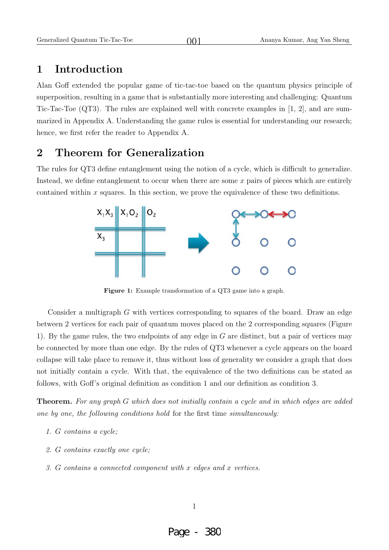#### **1 Introduction**

Alan Goff extended the popular game of tic-tac-toe based on the quantum physics principle of superposition, resulting in a game that is substantially more interesting and challenging: Quantum Tic-Tac-Toe (QT3). The rules are explained well with concrete examples in [1, 2], and are summarized in Appendix A. Understanding the game rules is essential for understanding our research; hence, we first refer the reader to Appendix A.

 $001$ 

#### **2 Theorem for Generalization**

The rules for QT3 define entanglement using the notion of a cycle, which is difficult to generalize. Instead, we define entanglement to occur when there are some x pairs of pieces which are entirely contained within x squares. In this section, we prove the equivalence of these two definitions.



**Figure 1:** Example transformation of a QT3 game into a graph.

Consider a multigraph G with vertices corresponding to squares of the board. Draw an edge between 2 vertices for each pair of quantum moves placed on the 2 corresponding squares (Figure 1). By the game rules, the two endpoints of any edge in G are distinct, but a pair of vertices may be connected by more than one edge. By the rules of QT3 whenever a cycle appears on the board collapse will take place to remove it, thus without loss of generality we consider a graph that does not initially contain a cycle. With that, the equivalence of the two definitions can be stated as follows, with Goff's original definition as condition 1 and our definition as condition 3.

**Theorem.** For any graph G which does not initially contain a cycle and in which edges are added one by one, the following conditions hold for the first time simultaneously:

- 1. G contains a cycle;
- 2. G contains exactly one cycle;
- 3. G contains a connected component with x edges and x vertices.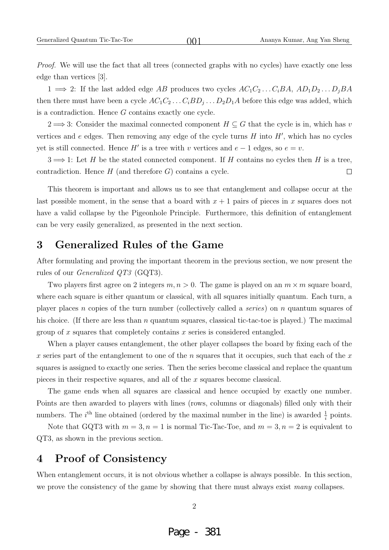Proof. We will use the fact that all trees (connected graphs with no cycles) have exactly one less edge than vertices [3].

1  $\implies$  2: If the last added edge AB produces two cycles  $AC_1C_2 \dots C_iBA$ ,  $AD_1D_2 \dots D_jBA$ then there must have been a cycle  $AC_1C_2 \ldots C_iBD_j \ldots D_2D_1A$  before this edge was added, which is a contradiction. Hence G contains exactly one cycle.

 $2 \Longrightarrow 3$ : Consider the maximal connected component  $H \subseteq G$  that the cycle is in, which has v vertices and  $e$  edges. Then removing any edge of the cycle turns  $H$  into  $H'$ , which has no cycles yet is still connected. Hence H' is a tree with v vertices and  $e-1$  edges, so  $e=v$ .

 $3 \Longrightarrow 1$ : Let H be the stated connected component. If H contains no cycles then H is a tree, contradiction. Hence  $H$  (and therefore  $G$ ) contains a cycle.  $\Box$ 

This theorem is important and allows us to see that entanglement and collapse occur at the last possible moment, in the sense that a board with  $x + 1$  pairs of pieces in x squares does not have a valid collapse by the Pigeonhole Principle. Furthermore, this definition of entanglement can be very easily generalized, as presented in the next section.

#### **3 Generalized Rules of the Game**

After formulating and proving the important theorem in the previous section, we now present the rules of our Generalized QT3 (GQT3).

Two players first agree on 2 integers  $m, n > 0$ . The game is played on an  $m \times m$  square board, where each square is either quantum or classical, with all squares initially quantum. Each turn, a player places n copies of the turn number (collectively called a series) on n quantum squares of his choice. (If there are less than n quantum squares, classical tic-tac-toe is played.) The maximal group of  $x$  squares that completely contains  $x$  series is considered entangled.

When a player causes entanglement, the other player collapses the board by fixing each of the x series part of the entanglement to one of the n squares that it occupies, such that each of the x squares is assigned to exactly one series. Then the series become classical and replace the quantum pieces in their respective squares, and all of the x squares become classical.

The game ends when all squares are classical and hence occupied by exactly one number. Points are then awarded to players with lines (rows, columns or diagonals) filled only with their numbers. The *i*<sup>th</sup> line obtained (ordered by the maximal number in the line) is awarded  $\frac{1}{i}$  points.

Note that GQT3 with  $m = 3, n = 1$  is normal Tic-Tac-Toe, and  $m = 3, n = 2$  is equivalent to QT3, as shown in the previous section.

### **4 Proof of Consistency**

When entanglement occurs, it is not obvious whether a collapse is always possible. In this section, we prove the consistency of the game by showing that there must always exist many collapses.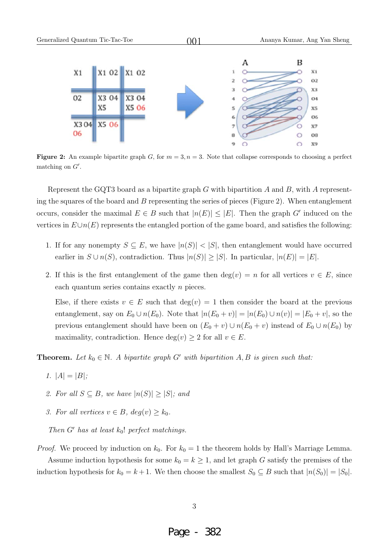

**Figure 2:** An example bipartite graph G, for  $m = 3$ ,  $n = 3$ . Note that collapse corresponds to choosing a perfect matching on  $G'$ .

Represent the GQT3 board as a bipartite graph  $G$  with bipartition  $A$  and  $B$ , with  $A$  representing the squares of the board and  $B$  representing the series of pieces (Figure 2). When entanglement occurs, consider the maximal  $E \in B$  such that  $|n(E)| \leq |E|$ . Then the graph G' induced on the vertices in  $E\cup n(E)$  represents the entangled portion of the game board, and satisfies the following:

- 1. If for any nonempty  $S \subseteq E$ , we have  $|n(S)| < |S|$ , then entanglement would have occurred earlier in  $S \cup n(S)$ , contradiction. Thus  $|n(S)| \geq |S|$ . In particular,  $|n(E)| = |E|$ .
- 2. If this is the first entanglement of the game then  $deg(v) = n$  for all vertices  $v \in E$ , since each quantum series contains exactly n pieces.

Else, if there exists  $v \in E$  such that  $deg(v) = 1$  then consider the board at the previous entanglement, say on  $E_0 \cup n(E_0)$ . Note that  $|n(E_0 + v)| = |n(E_0) \cup n(v)| = |E_0 + v|$ , so the previous entanglement should have been on  $(E_0 + v) \cup n(E_0 + v)$  instead of  $E_0 \cup n(E_0)$  by maximality, contradiction. Hence  $\deg(v) \geq 2$  for all  $v \in E$ .

**Theorem.** Let  $k_0 \in \mathbb{N}$ . A bipartite graph G' with bipartition A, B is given such that:

- 1.  $|A| = |B|$ ;
- 2. For all  $S \subseteq B$ , we have  $|n(S)| \geq |S|$ ; and
- 3. For all vertices  $v \in B$ ,  $deg(v) > k_0$ .

Then G' has at least  $k_0$ ! perfect matchings.

*Proof.* We proceed by induction on  $k_0$ . For  $k_0 = 1$  the theorem holds by Hall's Marriage Lemma. Assume induction hypothesis for some  $k_0 = k \geq 1$ , and let graph G satisfy the premises of the induction hypothesis for  $k_0 = k + 1$ . We then choose the smallest  $S_0 \subseteq B$  such that  $|n(S_0)| = |S_0|$ .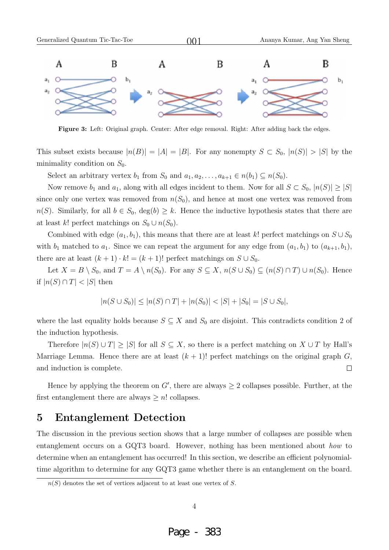

**Figure 3:** Left: Original graph. Center: After edge removal. Right: After adding back the edges.

This subset exists because  $|n(B)| = |A| = |B|$ . For any nonempty  $S \subset S_0$ ,  $|n(S)| > |S|$  by the minimality condition on  $S_0$ .

Select an arbitrary vertex  $b_1$  from  $S_0$  and  $a_1, a_2, \ldots, a_{k+1} \in n(b_1) \subseteq n(S_0)$ .

Now remove  $b_1$  and  $a_1$ , along with all edges incident to them. Now for all  $S \subset S_0$ ,  $|n(S)| \geq |S|$ since only one vertex was removed from  $n(S_0)$ , and hence at most one vertex was removed from  $n(S)$ . Similarly, for all  $b \in S_0$ ,  $deg(b) \geq k$ . Hence the inductive hypothesis states that there are at least k! perfect matchings on  $S_0 \cup n(S_0)$ .

Combined with edge  $(a_1, b_1)$ , this means that there are at least k! perfect matchings on  $S \cup S_0$ with  $b_1$  matched to  $a_1$ . Since we can repeat the argument for any edge from  $(a_1, b_1)$  to  $(a_{k+1}, b_1)$ , there are at least  $(k + 1) \cdot k! = (k + 1)!$  perfect matchings on  $S \cup S_0$ .

Let  $X = B \setminus S_0$ , and  $T = A \setminus n(S_0)$ . For any  $S \subseteq X$ ,  $n(S \cup S_0) \subseteq (n(S) \cap T) \cup n(S_0)$ . Hence if  $|n(S) \cap T| < |S|$  then

$$
|n(S \cup S_0)| \le |n(S) \cap T| + |n(S_0)| < |S| + |S_0| = |S \cup S_0|,
$$

where the last equality holds because  $S \subseteq X$  and  $S_0$  are disjoint. This contradicts condition 2 of the induction hypothesis.

Therefore  $|n(S) \cup T| \geq |S|$  for all  $S \subseteq X$ , so there is a perfect matching on  $X \cup T$  by Hall's Marriage Lemma. Hence there are at least  $(k + 1)!$  perfect matchings on the original graph G, and induction is complete.  $\Box$ 

Hence by applying the theorem on  $G'$ , there are always  $\geq 2$  collapses possible. Further, at the first entanglement there are always  $\geq n!$  collapses.

#### **5 Entanglement Detection**

The discussion in the previous section shows that a large number of collapses are possible when entanglement occurs on a GQT3 board. However, nothing has been mentioned about how to determine when an entanglement has occurred! In this section, we describe an efficient polynomialtime algorithm to determine for any GQT3 game whether there is an entanglement on the board.

 $n(S)$  denotes the set of vertices adjacent to at least one vertex of S.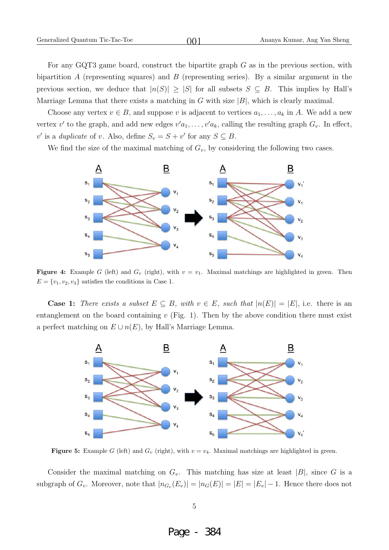For any GQT3 game board, construct the bipartite graph  $G$  as in the previous section, with bipartition A (representing squares) and B (representing series). By a similar argument in the previous section, we deduce that  $|n(S)| \geq |S|$  for all subsets  $S \subseteq B$ . This implies by Hall's Marriage Lemma that there exists a matching in G with size  $|B|$ , which is clearly maximal.

Choose any vertex  $v \in B$ , and suppose v is adjacent to vertices  $a_1, \ldots, a_k$  in A. We add a new vertex  $v'$  to the graph, and add new edges  $v'a_1, \ldots, v'a_k$ , calling the resulting graph  $G_v$ . In effect, v' is a duplicate of v. Also, define  $S_v = S + v'$  for any  $S \subseteq B$ .

We find the size of the maximal matching of  $G_v$ , by considering the following two cases.



**Figure 4:** Example G (left) and  $G_v$  (right), with  $v = v_1$ . Maximal matchings are highlighted in green. Then  $E = \{v_1, v_2, v_3\}$  satisfies the conditions in Case 1.

**Case 1:** There exists a subset  $E \subseteq B$ , with  $v \in E$ , such that  $|n(E)| = |E|$ , i.e. there is an entanglement on the board containing  $v$  (Fig. 1). Then by the above condition there must exist a perfect matching on  $E \cup n(E)$ , by Hall's Marriage Lemma.



**Figure 5:** Example G (left) and  $G_v$  (right), with  $v = v_4$ . Maximal matchings are highlighted in green.

Consider the maximal matching on  $G_v$ . This matching has size at least  $|B|$ , since G is a subgraph of  $G_v$ . Moreover, note that  $|n_{G_v}(E_v)| = |n_G(E)| = |E| = |E_v| - 1$ . Hence there does not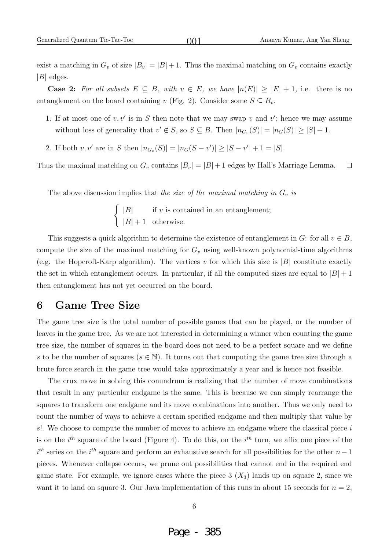$001$ 

exist a matching in  $G_v$  of size  $|B_v| = |B| + 1$ . Thus the maximal matching on  $G_v$  contains exactly  $|B|$  edges.

**Case 2:** For all subsets  $E \subseteq B$ , with  $v \in E$ , we have  $|n(E)| \geq |E| + 1$ , i.e. there is no entanglement on the board containing v (Fig. 2). Consider some  $S \subseteq B_v$ .

- 1. If at most one of  $v, v'$  is in S then note that we may swap v and v'; hence we may assume without loss of generality that  $v' \notin S$ , so  $S \subseteq B$ . Then  $|n_{G_v}(S)| = |n_G(S)| \geq |S| + 1$ .
- 2. If both  $v, v'$  are in S then  $|n_{G_v}(S)| = |n_G(S v')| \ge |S v'| + 1 = |S|$ .

Thus the maximal matching on  $G_v$  contains  $|B_v| = |B| + 1$  edges by Hall's Marriage Lemma.  $\Box$ 

The above discussion implies that the size of the maximal matching in  $G_v$  is

 $\int$  |B| if v is contained in an entanglement;  $|B| + 1$  otherwise.

This suggests a quick algorithm to determine the existence of entanglement in G: for all  $v \in B$ , compute the size of the maximal matching for  $G_v$  using well-known polynomial-time algorithms (e.g. the Hopcroft-Karp algorithm). The vertices v for which this size is  $|B|$  constitute exactly the set in which entanglement occurs. In particular, if all the computed sizes are equal to  $|B|+1$ then entanglement has not yet occurred on the board.

#### **6 Game Tree Size**

The game tree size is the total number of possible games that can be played, or the number of leaves in the game tree. As we are not interested in determining a winner when counting the game tree size, the number of squares in the board does not need to be a perfect square and we define s to be the number of squares ( $s \in \mathbb{N}$ ). It turns out that computing the game tree size through a brute force search in the game tree would take approximately a year and is hence not feasible.

The crux move in solving this conundrum is realizing that the number of move combinations that result in any particular endgame is the same. This is because we can simply rearrange the squares to transform one endgame and its move combinations into another. Thus we only need to count the number of ways to achieve a certain specified endgame and then multiply that value by s!. We choose to compute the number of moves to achieve an endgame where the classical piece  $i$ is on the  $i^{th}$  square of the board (Figure 4). To do this, on the  $i^{th}$  turn, we affix one piece of the  $i<sup>th</sup>$  series on the  $i<sup>th</sup>$  square and perform an exhaustive search for all possibilities for the other  $n-1$ pieces. Whenever collapse occurs, we prune out possibilities that cannot end in the required end game state. For example, we ignore cases where the piece  $3(X_3)$  lands up on square 2, since we want it to land on square 3. Our Java implementation of this runs in about 15 seconds for  $n = 2$ ,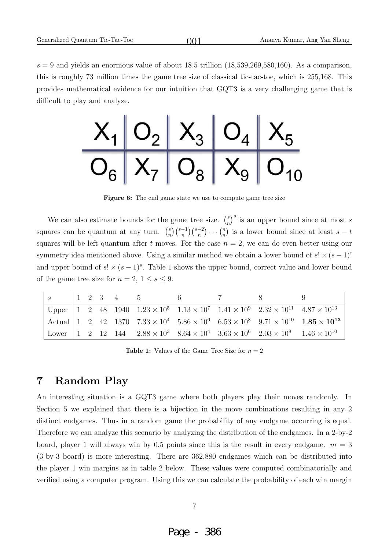$s = 9$  and yields an enormous value of about 18.5 trillion  $(18,539,269,580,160)$ . As a comparison, this is roughly 73 million times the game tree size of classical tic-tac-toe, which is 255,168. This provides mathematical evidence for our intuition that GQT3 is a very challenging game that is difficult to play and analyze.

 $001$ 



**Figure 6:** The end game state we use to compute game tree size

We can also estimate bounds for the game tree size.  $\binom{s}{n}^s$  is an upper bound since at most s squares can be quantum at any turn.  $\binom{s}{n} \binom{s-1}{n} \binom{s-2}{n} \cdots \binom{n}{n}$  is a lower bound since at least  $s-t$ squares will be left quantum after t moves. For the case  $n = 2$ , we can do even better using our symmetry idea mentioned above. Using a similar method we obtain a lower bound of  $s! \times (s-1)!$ and upper bound of  $s! \times (s-1)^s$ . Table 1 shows the upper bound, correct value and lower bound of the game tree size for  $n = 2, 1 \le s \le 9$ .

|  |  | $s \begin{array}{c cccccc} 1 & 2 & 3 & 4 & 5 & 6 \end{array}$ | 2 8 |                                                                                                                          |                                                                                                                                                               |
|--|--|---------------------------------------------------------------|-----|--------------------------------------------------------------------------------------------------------------------------|---------------------------------------------------------------------------------------------------------------------------------------------------------------|
|  |  |                                                               |     | Upper   1 2 48 1940 $1.23 \times 10^5$ $1.13 \times 10^7$ $1.41 \times 10^9$ $2.32 \times 10^{11}$ $4.87 \times 10^{13}$ |                                                                                                                                                               |
|  |  |                                                               |     |                                                                                                                          | Actual $\begin{vmatrix} 1 & 2 & 42 & 1370 & 7.33 \times 10^4 & 5.86 \times 10^6 & 6.53 \times 10^8 & 9.71 \times 10^{10} & 1.85 \times 10^{13} \end{vmatrix}$ |
|  |  |                                                               |     | Lower 1 2 12 144 $2.88 \times 10^3$ $8.64 \times 10^4$ $3.63 \times 10^6$ $2.03 \times 10^8$ $1.46 \times 10^{10}$       |                                                                                                                                                               |

**Table 1:** Values of the Game Tree Size for  $n = 2$ 

#### **7 Random Play**

An interesting situation is a GQT3 game where both players play their moves randomly. In Section 5 we explained that there is a bijection in the move combinations resulting in any 2 distinct endgames. Thus in a random game the probability of any endgame occurring is equal. Therefore we can analyze this scenario by analyzing the distribution of the endgames. In a 2-by-2 board, player 1 will always win by 0.5 points since this is the result in every endgame.  $m = 3$ (3-by-3 board) is more interesting. There are 362,880 endgames which can be distributed into the player 1 win margins as in table 2 below. These values were computed combinatorially and verified using a computer program. Using this we can calculate the probability of each win margin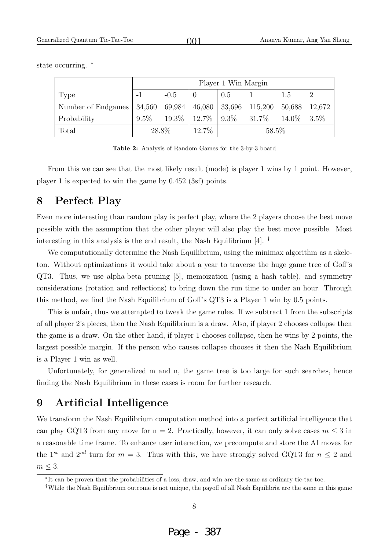|                                                                            | Player 1 Win Margin |        |       |       |                                          |                |  |  |
|----------------------------------------------------------------------------|---------------------|--------|-------|-------|------------------------------------------|----------------|--|--|
| Type                                                                       |                     | $-0.5$ |       | 0.5   |                                          | 1.5            |  |  |
| Number of Endgames   34,560 69,984   46,080   33,696 115,200 50,688 12,672 |                     |        |       |       |                                          |                |  |  |
| Probability                                                                | $9.5\%$             |        |       |       | $19.3\%$   $12.7\%$   $9.3\%$   $31.7\%$ | $14.0\%$ 3.5\% |  |  |
| Total                                                                      | 28.8%               |        | 12.7% | 58.5% |                                          |                |  |  |

 $001$ 

state occurring.  $*$ 

**Table 2:** Analysis of Random Games for the 3-by-3 board

From this we can see that the most likely result (mode) is player 1 wins by 1 point. However, player 1 is expected to win the game by 0.452 (3sf) points.

# **8 Perfect Play**

Even more interesting than random play is perfect play, where the 2 players choose the best move possible with the assumption that the other player will also play the best move possible. Most interesting in this analysis is the end result, the Nash Equilibrium [4]. †

We computationally determine the Nash Equilibrium, using the minimax algorithm as a skeleton. Without optimizations it would take about a year to traverse the huge game tree of Goff's QT3. Thus, we use alpha-beta pruning [5], memoization (using a hash table), and symmetry considerations (rotation and reflections) to bring down the run time to under an hour. Through this method, we find the Nash Equilibrium of Goff's QT3 is a Player 1 win by 0.5 points.

This is unfair, thus we attempted to tweak the game rules. If we subtract 1 from the subscripts of all player 2's pieces, then the Nash Equilibrium is a draw. Also, if player 2 chooses collapse then the game is a draw. On the other hand, if player 1 chooses collapse, then he wins by 2 points, the largest possible margin. If the person who causes collapse chooses it then the Nash Equilibrium is a Player 1 win as well.

Unfortunately, for generalized m and n, the game tree is too large for such searches, hence finding the Nash Equilibrium in these cases is room for further research.

#### **9 Artificial Intelligence**

We transform the Nash Equilibrium computation method into a perfect artificial intelligence that can play GQT3 from any move for  $n = 2$ . Practically, however, it can only solve cases  $m \leq 3$  in a reasonable time frame. To enhance user interaction, we precompute and store the AI moves for the 1<sup>st</sup> and 2<sup>nd</sup> turn for  $m = 3$ . Thus with this, we have strongly solved GQT3 for  $n \leq 2$  and  $m \leq 3$ .

<sup>∗</sup>It can be proven that the probabilities of a loss, draw, and win are the same as ordinary tic-tac-toe.

<sup>†</sup>While the Nash Equilibrium outcome is not unique, the payoff of all Nash Equilibria are the same in this game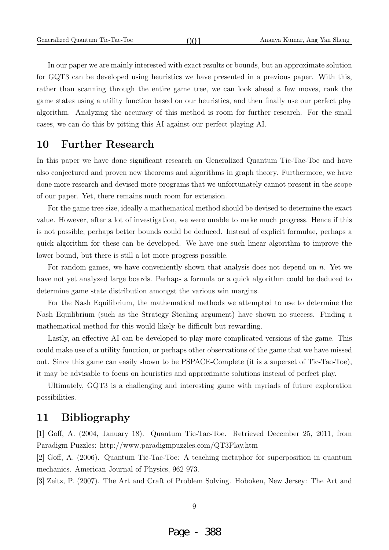In our paper we are mainly interested with exact results or bounds, but an approximate solution for GQT3 can be developed using heuristics we have presented in a previous paper. With this, rather than scanning through the entire game tree, we can look ahead a few moves, rank the game states using a utility function based on our heuristics, and then finally use our perfect play algorithm. Analyzing the accuracy of this method is room for further research. For the small cases, we can do this by pitting this AI against our perfect playing AI.

 $001$ 

#### **10 Further Research**

In this paper we have done significant research on Generalized Quantum Tic-Tac-Toe and have also conjectured and proven new theorems and algorithms in graph theory. Furthermore, we have done more research and devised more programs that we unfortunately cannot present in the scope of our paper. Yet, there remains much room for extension.

For the game tree size, ideally a mathematical method should be devised to determine the exact value. However, after a lot of investigation, we were unable to make much progress. Hence if this is not possible, perhaps better bounds could be deduced. Instead of explicit formulae, perhaps a quick algorithm for these can be developed. We have one such linear algorithm to improve the lower bound, but there is still a lot more progress possible.

For random games, we have conveniently shown that analysis does not depend on  $n$ . Yet we have not yet analyzed large boards. Perhaps a formula or a quick algorithm could be deduced to determine game state distribution amongst the various win margins.

For the Nash Equilibrium, the mathematical methods we attempted to use to determine the Nash Equilibrium (such as the Strategy Stealing argument) have shown no success. Finding a mathematical method for this would likely be difficult but rewarding.

Lastly, an effective AI can be developed to play more complicated versions of the game. This could make use of a utility function, or perhaps other observations of the game that we have missed out. Since this game can easily shown to be PSPACE-Complete (it is a superset of Tic-Tac-Toe), it may be advisable to focus on heuristics and approximate solutions instead of perfect play.

Ultimately, GQT3 is a challenging and interesting game with myriads of future exploration possibilities.

#### **11 Bibliography**

[1] Goff, A. (2004, January 18). Quantum Tic-Tac-Toe. Retrieved December 25, 2011, from Paradigm Puzzles: http://www.paradigmpuzzles.com/QT3Play.htm

[2] Goff, A. (2006). Quantum Tic-Tac-Toe: A teaching metaphor for superposition in quantum mechanics. American Journal of Physics, 962-973.

[3] Zeitz, P. (2007). The Art and Craft of Problem Solving. Hoboken, New Jersey: The Art and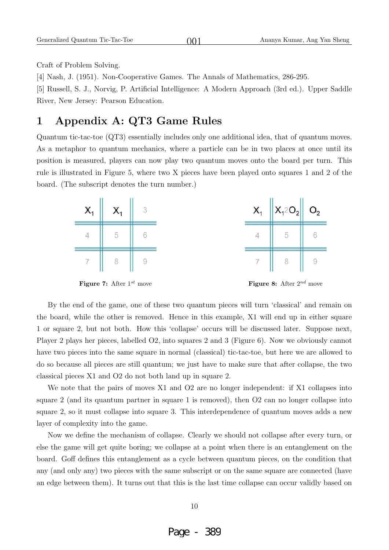Craft of Problem Solving.

[4] Nash, J. (1951). Non-Cooperative Games. The Annals of Mathematics, 286-295.

[5] Russell, S. J., Norvig, P. Artificial Intelligence: A Modern Approach (3rd ed.). Upper Saddle River, New Jersey: Pearson Education.

 $001$ 

## **1 Appendix A: QT3 Game Rules**

Quantum tic-tac-toe (QT3) essentially includes only one additional idea, that of quantum moves. As a metaphor to quantum mechanics, where a particle can be in two places at once until its position is measured, players can now play two quantum moves onto the board per turn. This rule is illustrated in Figure 5, where two X pieces have been played onto squares 1 and 2 of the board. (The subscript denotes the turn number.)





By the end of the game, one of these two quantum pieces will turn 'classical' and remain on the board, while the other is removed. Hence in this example, X1 will end up in either square 1 or square 2, but not both. How this 'collapse' occurs will be discussed later. Suppose next, Player 2 plays her pieces, labelled O2, into squares 2 and 3 (Figure 6). Now we obviously cannot have two pieces into the same square in normal (classical) tic-tac-toe, but here we are allowed to do so because all pieces are still quantum; we just have to make sure that after collapse, the two classical pieces X1 and O2 do not both land up in square 2.

We note that the pairs of moves X1 and O2 are no longer independent: if X1 collapses into square 2 (and its quantum partner in square 1 is removed), then O2 can no longer collapse into square 2, so it must collapse into square 3. This interdependence of quantum moves adds a new layer of complexity into the game.

Now we define the mechanism of collapse. Clearly we should not collapse after every turn, or else the game will get quite boring; we collapse at a point when there is an entanglement on the board. Goff defines this entanglement as a cycle between quantum pieces, on the condition that any (and only any) two pieces with the same subscript or on the same square are connected (have an edge between them). It turns out that this is the last time collapse can occur validly based on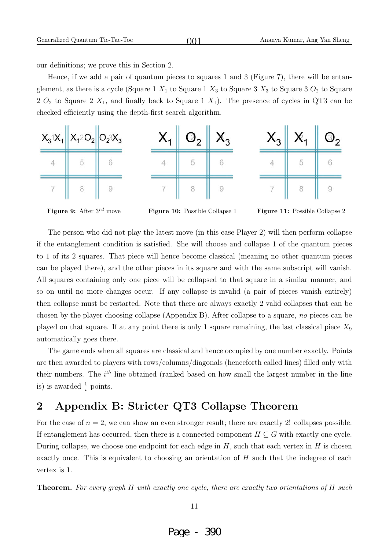our definitions; we prove this in Section 2.

Hence, if we add a pair of quantum pieces to squares 1 and 3 (Figure 7), there will be entanglement, as there is a cycle (Square 1  $X_1$  to Square 1  $X_3$  to Square 3  $X_3$  to Square 3  $O_2$  to Square 2  $O_2$  to Square 2  $X_1$ , and finally back to Square 1  $X_1$ ). The presence of cycles in QT3 can be checked efficiently using the depth-first search algorithm.

 $001$ 



**Figure 9:** After  $3^{rd}$  move **Figure 10:** Possible Collapse 1 **Figure 11:** Possible Collapse 2

The person who did not play the latest move (in this case Player 2) will then perform collapse if the entanglement condition is satisfied. She will choose and collapse 1 of the quantum pieces to 1 of its 2 squares. That piece will hence become classical (meaning no other quantum pieces can be played there), and the other pieces in its square and with the same subscript will vanish. All squares containing only one piece will be collapsed to that square in a similar manner, and so on until no more changes occur. If any collapse is invalid (a pair of pieces vanish entirely) then collapse must be restarted. Note that there are always exactly 2 valid collapses that can be chosen by the player choosing collapse (Appendix B). After collapse to a square, no pieces can be played on that square. If at any point there is only 1 square remaining, the last classical piece  $X_9$ automatically goes there.

The game ends when all squares are classical and hence occupied by one number exactly. Points are then awarded to players with rows/columns/diagonals (henceforth called lines) filled only with their numbers. The  $i^{th}$  line obtained (ranked based on how small the largest number in the line is) is awarded  $\frac{1}{i}$  points.

### **2 Appendix B: Stricter QT3 Collapse Theorem**

For the case of  $n = 2$ , we can show an even stronger result; there are exactly 2! collapses possible. If entanglement has occurred, then there is a connected component  $H \subseteq G$  with exactly one cycle. During collapse, we choose one endpoint for each edge in  $H$ , such that each vertex in  $H$  is chosen exactly once. This is equivalent to choosing an orientation of  $H$  such that the indegree of each vertex is 1.

**Theorem.** For every graph H with exactly one cycle, there are exactly two orientations of H such